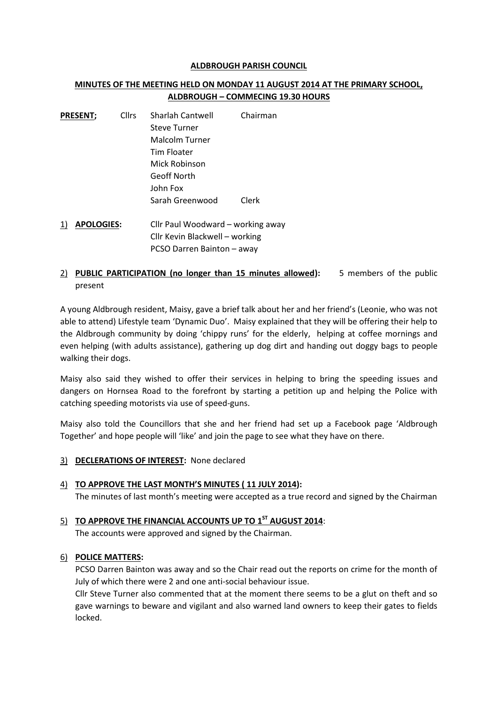#### **ALDBROUGH PARISH COUNCIL**

# **MINUTES OF THE MEETING HELD ON MONDAY 11 AUGUST 2014 AT THE PRIMARY SCHOOL, ALDBROUGH – COMMECING 19.30 HOURS**

| <b>PRESENT;</b> | <b>Cllrs</b> | Sharlah Cantwell    | Chairman |  |
|-----------------|--------------|---------------------|----------|--|
|                 |              | <b>Steve Turner</b> |          |  |
|                 |              | Malcolm Turner      |          |  |
|                 |              | Tim Floater         |          |  |
|                 |              | Mick Robinson       |          |  |
|                 |              | Geoff North         |          |  |
|                 |              | John Fox            |          |  |
|                 |              | Sarah Greenwood     | Clerk    |  |
|                 |              |                     |          |  |

- 1) **APOLOGIES:** Cllr Paul Woodward working away Cllr Kevin Blackwell – working PCSO Darren Bainton – away
- 2) **PUBLIC PARTICIPATION (no longer than 15 minutes allowed):** 5 members of the public present

A young Aldbrough resident, Maisy, gave a brief talk about her and her friend's (Leonie, who was not able to attend) Lifestyle team 'Dynamic Duo'. Maisy explained that they will be offering their help to the Aldbrough community by doing 'chippy runs' for the elderly, helping at coffee mornings and even helping (with adults assistance), gathering up dog dirt and handing out doggy bags to people walking their dogs.

Maisy also said they wished to offer their services in helping to bring the speeding issues and dangers on Hornsea Road to the forefront by starting a petition up and helping the Police with catching speeding motorists via use of speed-guns.

Maisy also told the Councillors that she and her friend had set up a Facebook page 'Aldbrough Together' and hope people will 'like' and join the page to see what they have on there.

3) **DECLERATIONS OF INTEREST:** None declared

#### 4) **TO APPROVE THE LAST MONTH'S MINUTES ( 11 JULY 2014):** The minutes of last month's meeting were accepted as a true record and signed by the Chairman

# 5) **TO APPROVE THE FINANCIAL ACCOUNTS UP TO 1 ST AUGUST 2014**:

The accounts were approved and signed by the Chairman.

# 6) **POLICE MATTERS:**

PCSO Darren Bainton was away and so the Chair read out the reports on crime for the month of July of which there were 2 and one anti-social behaviour issue.

Cllr Steve Turner also commented that at the moment there seems to be a glut on theft and so gave warnings to beware and vigilant and also warned land owners to keep their gates to fields locked.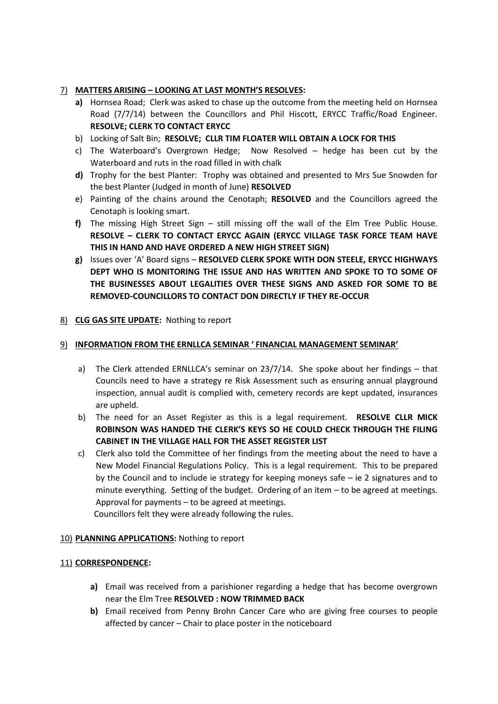# 7) **MATTERS ARISING – LOOKING AT LAST MONTH'S RESOLVES:**

- **a)** Hornsea Road; Clerk was asked to chase up the outcome from the meeting held on Hornsea Road (7/7/14) between the Councillors and Phil Hiscott, ERYCC Traffic/Road Engineer. **RESOLVE; CLERK TO CONTACT ERYCC**
- b) Locking of Salt Bin; **RESOLVE; CLLR TIM FLOATER WILL OBTAIN A LOCK FOR THIS**
- c) The Waterboard's Overgrown Hedge; Now Resolved hedge has been cut by the Waterboard and ruts in the road filled in with chalk
- **d)** Trophy for the best Planter: Trophy was obtained and presented to Mrs Sue Snowden for the best Planter (Judged in month of June) **RESOLVED**
- e) Painting of the chains around the Cenotaph; **RESOLVED** and the Councillors agreed the Cenotaph is looking smart.
- **f)** The missing High Street Sign still missing off the wall of the Elm Tree Public House. **RESOLVE – CLERK TO CONTACT ERYCC AGAIN (ERYCC VILLAGE TASK FORCE TEAM HAVE THIS IN HAND AND HAVE ORDERED A NEW HIGH STREET SIGN)**
- **g)** Issues over 'A' Board signs **RESOLVED CLERK SPOKE WITH DON STEELE, ERYCC HIGHWAYS DEPT WHO IS MONITORING THE ISSUE AND HAS WRITTEN AND SPOKE TO TO SOME OF THE BUSINESSES ABOUT LEGALITIES OVER THESE SIGNS AND ASKED FOR SOME TO BE REMOVED-COUNCILLORS TO CONTACT DON DIRECTLY IF THEY RE-OCCUR**

# 8) **CLG GAS SITE UPDATE:** Nothing to report

#### 9) **INFORMATION FROM THE ERNLLCA SEMINAR ' FINANCIAL MANAGEMENT SEMINAR'**

- a) The Clerk attended ERNLLCA's seminar on 23/7/14. She spoke about her findings that Councils need to have a strategy re Risk Assessment such as ensuring annual playground inspection, annual audit is complied with, cemetery records are kept updated, insurances are upheld.
- b) The need for an Asset Register as this is a legal requirement. **RESOLVE CLLR MICK ROBINSON WAS HANDED THE CLERK'S KEYS SO HE COULD CHECK THROUGH THE FILING CABINET IN THE VILLAGE HALL FOR THE ASSET REGISTER LIST**
- c) Clerk also told the Committee of her findings from the meeting about the need to have a New Model Financial Regulations Policy. This is a legal requirement. This to be prepared by the Council and to include ie strategy for keeping moneys safe – ie 2 signatures and to minute everything. Setting of the budget. Ordering of an item – to be agreed at meetings. Approval for payments – to be agreed at meetings.

Councillors felt they were already following the rules.

# 10) **PLANNING APPLICATIONS:** Nothing to report

# 11) **CORRESPONDENCE:**

- **a)** Email was received from a parishioner regarding a hedge that has become overgrown near the Elm Tree **RESOLVED : NOW TRIMMED BACK**
- **b)** Email received from Penny Brohn Cancer Care who are giving free courses to people affected by cancer – Chair to place poster in the noticeboard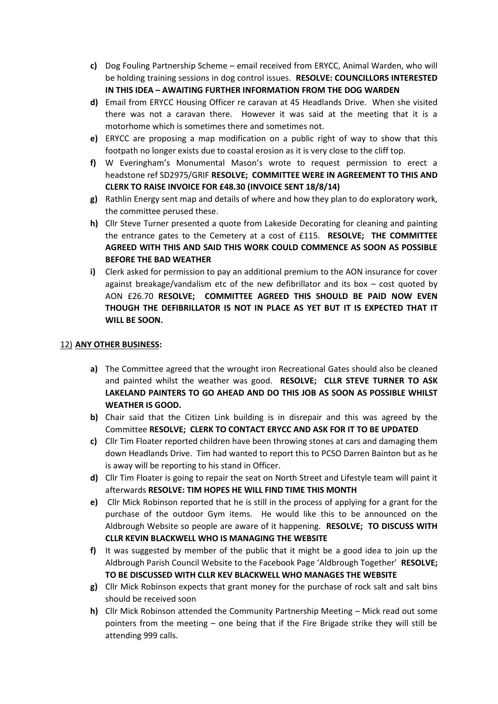- **c)** Dog Fouling Partnership Scheme email received from ERYCC, Animal Warden, who will be holding training sessions in dog control issues. **RESOLVE: COUNCILLORS INTERESTED IN THIS IDEA – AWAITING FURTHER INFORMATION FROM THE DOG WARDEN**
- **d)** Email from ERYCC Housing Officer re caravan at 45 Headlands Drive. When she visited there was not a caravan there. However it was said at the meeting that it is a motorhome which is sometimes there and sometimes not.
- **e)** ERYCC are proposing a map modification on a public right of way to show that this footpath no longer exists due to coastal erosion as it is very close to the cliff top.
- **f)** W Everingham's Monumental Mason's wrote to request permission to erect a headstone ref SD2975/GRIF **RESOLVE; COMMITTEE WERE IN AGREEMENT TO THIS AND CLERK TO RAISE INVOICE FOR £48.30 (INVOICE SENT 18/8/14)**
- **g)** Rathlin Energy sent map and details of where and how they plan to do exploratory work, the committee perused these.
- **h)** Cllr Steve Turner presented a quote from Lakeside Decorating for cleaning and painting the entrance gates to the Cemetery at a cost of £115. **RESOLVE; THE COMMITTEE AGREED WITH THIS AND SAID THIS WORK COULD COMMENCE AS SOON AS POSSIBLE BEFORE THE BAD WEATHER**
- **i)** Clerk asked for permission to pay an additional premium to the AON insurance for cover against breakage/vandalism etc of the new defibrillator and its box – cost quoted by AON £26.70 **RESOLVE; COMMITTEE AGREED THIS SHOULD BE PAID NOW EVEN THOUGH THE DEFIBRILLATOR IS NOT IN PLACE AS YET BUT IT IS EXPECTED THAT IT WILL BE SOON.**

# 12) **ANY OTHER BUSINESS:**

- **a)** The Committee agreed that the wrought iron Recreational Gates should also be cleaned and painted whilst the weather was good. **RESOLVE; CLLR STEVE TURNER TO ASK LAKELAND PAINTERS TO GO AHEAD AND DO THIS JOB AS SOON AS POSSIBLE WHILST WEATHER IS GOOD.**
- **b)** Chair said that the Citizen Link building is in disrepair and this was agreed by the Committee **RESOLVE; CLERK TO CONTACT ERYCC AND ASK FOR IT TO BE UPDATED**
- **c)** Cllr Tim Floater reported children have been throwing stones at cars and damaging them down Headlands Drive. Tim had wanted to report this to PCSO Darren Bainton but as he is away will be reporting to his stand in Officer.
- **d)** Cllr Tim Floater is going to repair the seat on North Street and Lifestyle team will paint it afterwards **RESOLVE: TIM HOPES HE WILL FIND TIME THIS MONTH**
- **e)** Cllr Mick Robinson reported that he is still in the process of applying for a grant for the purchase of the outdoor Gym items. He would like this to be announced on the Aldbrough Website so people are aware of it happening. **RESOLVE; TO DISCUSS WITH CLLR KEVIN BLACKWELL WHO IS MANAGING THE WEBSITE**
- **f)** It was suggested by member of the public that it might be a good idea to join up the Aldbrough Parish Council Website to the Facebook Page 'Aldbrough Together' **RESOLVE; TO BE DISCUSSED WITH CLLR KEV BLACKWELL WHO MANAGES THE WEBSITE**
- **g)** Cllr Mick Robinson expects that grant money for the purchase of rock salt and salt bins should be received soon
- **h)** Cllr Mick Robinson attended the Community Partnership Meeting Mick read out some pointers from the meeting – one being that if the Fire Brigade strike they will still be attending 999 calls.